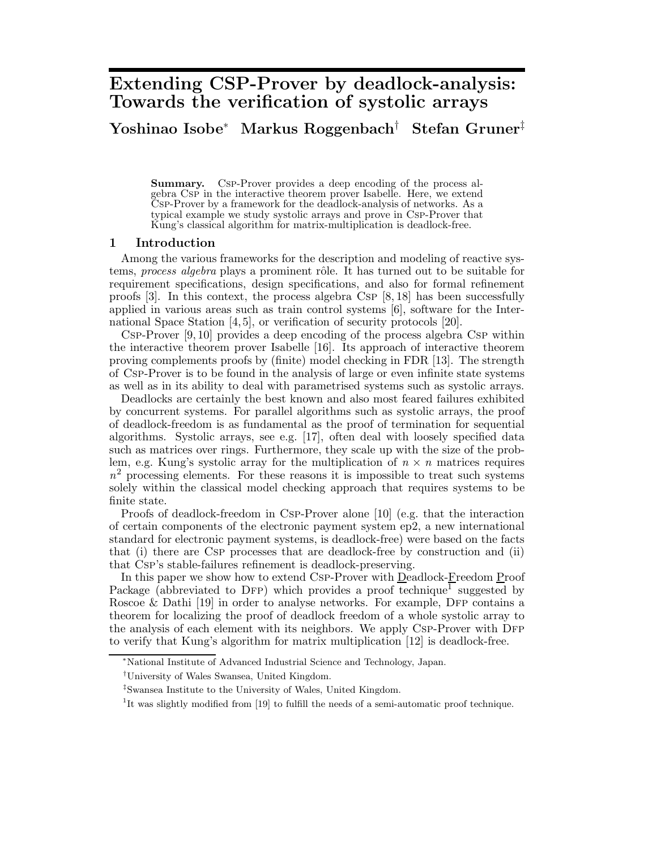# **Extending CSP-Prover by deadlock-analysis: Towards the verification of systolic arrays**

# **Yoshinao Isobe**<sup>∗</sup> **Markus Roggenbach**† **Stefan Gruner**‡

**Summary.** Csp-Prover provides a deep encoding of the process algebra Csp in the interactive theorem prover Isabelle. Here, we extend Csp-Prover by a framework for the deadlock-analysis of networks. As a typical example we study systolic arrays and prove in Csp-Prover that Kung's classical algorithm for matrix-multiplication is deadlock-free.

## **1 Introduction**

Among the various frameworks for the description and modeling of reactive systems, *process algebra* plays a prominent rôle. It has turned out to be suitable for requirement specifications, design specifications, and also for formal refinement proofs [3]. In this context, the process algebra Csp [8, 18] has been successfully applied in various areas such as train control systems [6], software for the International Space Station [4, 5], or verification of security protocols [20].

Csp-Prover [9, 10] provides a deep encoding of the process algebra Csp within the interactive theorem prover Isabelle [16]. Its approach of interactive theorem proving complements proofs by (finite) model checking in FDR [13]. The strength of Csp-Prover is to be found in the analysis of large or even infinite state systems as well as in its ability to deal with parametrised systems such as systolic arrays.

Deadlocks are certainly the best known and also most feared failures exhibited by concurrent systems. For parallel algorithms such as systolic arrays, the proof of deadlock-freedom is as fundamental as the proof of termination for sequential algorithms. Systolic arrays, see e.g. [17], often deal with loosely specified data such as matrices over rings. Furthermore, they scale up with the size of the problem, e.g. Kung's systolic array for the multiplication of  $n \times n$  matrices requires  $n<sup>2</sup>$  processing elements. For these reasons it is impossible to treat such systems solely within the classical model checking approach that requires systems to be finite state.

Proofs of deadlock-freedom in Csp-Prover alone [10] (e.g. that the interaction of certain components of the electronic payment system ep2, a new international standard for electronic payment systems, is deadlock-free) were based on the facts that (i) there are Csp processes that are deadlock-free by construction and (ii) that Csp's stable-failures refinement is deadlock-preserving.

In this paper we show how to extend Csp-Prover with Deadlock-Freedom Proof Package (abbreviated to DFP) which provides a proof technique<sup>1</sup> suggested by Roscoe  $\&$  Dathi [19] in order to analyse networks. For example, DFP contains a theorem for localizing the proof of deadlock freedom of a whole systolic array to the analysis of each element with its neighbors. We apply CSP-Prover with DFP to verify that Kung's algorithm for matrix multiplication [12] is deadlock-free.

<sup>∗</sup>National Institute of Advanced Industrial Science and Technology, Japan.

<sup>†</sup>University of Wales Swansea, United Kingdom.

<sup>‡</sup>Swansea Institute to the University of Wales, United Kingdom.

<sup>&</sup>lt;sup>1</sup>It was slightly modified from [19] to fulfill the needs of a semi-automatic proof technique.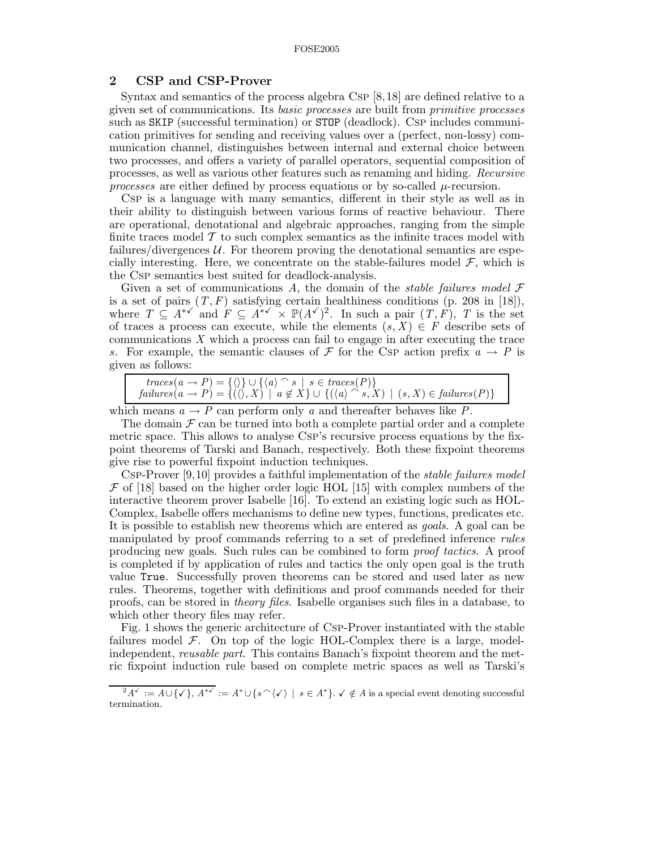# **2 CSP and CSP-Prover**

Syntax and semantics of the process algebra Csp [8,18] are defined relative to a given set of communications. Its *basic processes* are built from *primitive processes* such as SKIP (successful termination) or STOP (deadlock). CsP includes communication primitives for sending and receiving values over a (perfect, non-lossy) communication channel, distinguishes between internal and external choice between two processes, and offers a variety of parallel operators, sequential composition of processes, as well as various other features such as renaming and hiding. *Recursive processes* are either defined by process equations or by so-called  $\mu$ -recursion.

Csp is a language with many semantics, different in their style as well as in their ability to distinguish between various forms of reactive behaviour. There are operational, denotational and algebraic approaches, ranging from the simple finite traces model  $\mathcal T$  to such complex semantics as the infinite traces model with failures/divergences  $\mathcal{U}$ . For theorem proving the denotational semantics are especially interesting. Here, we concentrate on the stable-failures model  $\mathcal{F}$ , which is the Csp semantics best suited for deadlock-analysis.

Given a set of communications *A*, the domain of the *stable failures model* F is a set of pairs  $(T, F)$  satisfying certain healthiness conditions (p. 208 in [18]), where  $T \subseteq A^{*\checkmark}$  and  $F \subseteq A^{*\checkmark} \times \mathbb{P}(A^{\checkmark})^2$ . In such a pair  $(T, F)$ , *T* is the set of traces a process can execute, while the elements  $(s, X) \in F$  describe sets of communications *X* which a process can fail to engage in after executing the trace *s*. For example, the semantic clauses of F for the Csp action prefix  $a \rightarrow P$  is given as follows:

which means  $a \to P$  can perform only a and thereafter behaves like P.

The domain  $\mathcal F$  can be turned into both a complete partial order and a complete metric space. This allows to analyse Csp's recursive process equations by the fixpoint theorems of Tarski and Banach, respectively. Both these fixpoint theorems give rise to powerful fixpoint induction techniques.

Csp-Prover [9,10] provides a faithful implementation of the *stable failures model*  $\mathcal F$  of [18] based on the higher order logic HOL [15] with complex numbers of the interactive theorem prover Isabelle [16]. To extend an existing logic such as HOL-Complex, Isabelle offers mechanisms to define new types, functions, predicates etc. It is possible to establish new theorems which are entered as *goals*. A goal can be manipulated by proof commands referring to a set of predefined inference *rules* producing new goals. Such rules can be combined to form *proof tactics*. A proof is completed if by application of rules and tactics the only open goal is the truth value True. Successfully proven theorems can be stored and used later as new rules. Theorems, together with definitions and proof commands needed for their proofs, can be stored in *theory files*. Isabelle organises such files in a database, to which other theory files may refer.

Fig. 1 shows the generic architecture of Csp-Prover instantiated with the stable failures model  $\mathcal{F}$ . On top of the logic HOL-Complex there is a large, modelindependent, *reusable part*. This contains Banach's fixpoint theorem and the metric fixpoint induction rule based on complete metric spaces as well as Tarski's

 $2A^{\checkmark} := A \cup {\checkmark}$ ,  $A^{*\checkmark} := A^* \cup {\checkmark}$  o  $\checkmark$  o  $\checkmark$  o  $\checkmark$  a  $A^*$ }.  $\checkmark$  ∉ A is a special event denoting successful termination.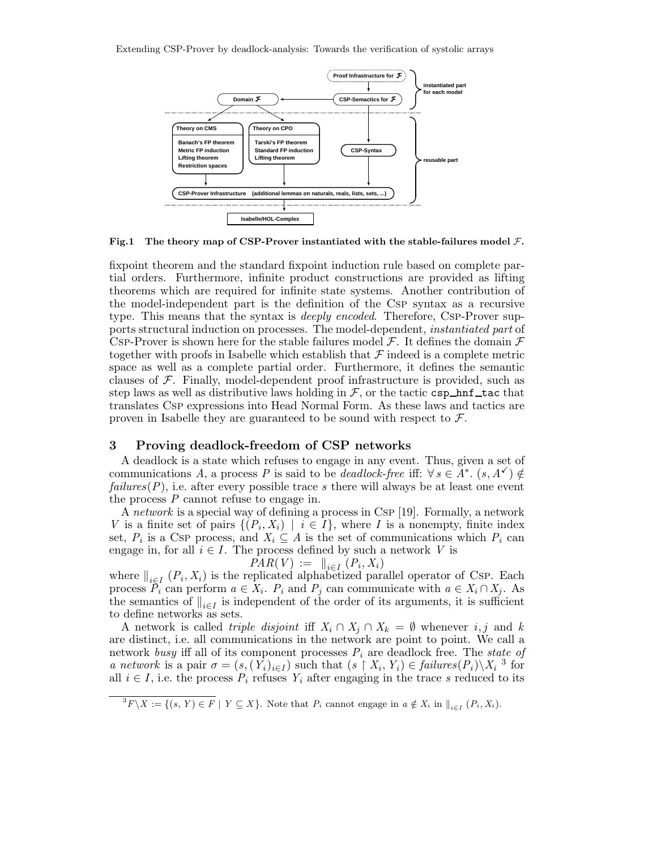Extending CSP-Prover by deadlock-analysis: Towards the verification of systolic arrays



**Fig.1 The theory map of CSP-Prover instantiated with the stable-failures model** F**.**

fixpoint theorem and the standard fixpoint induction rule based on complete partial orders. Furthermore, infinite product constructions are provided as lifting theorems which are required for infinite state systems. Another contribution of the model-independent part is the definition of the Csp syntax as a recursive type. This means that the syntax is *deeply encoded*. Therefore, Csp-Prover supports structural induction on processes. The model-dependent, *instantiated part* of CSP-Prover is shown here for the stable failures model  $\mathcal{F}$ . It defines the domain  $\mathcal{F}$ together with proofs in Isabelle which establish that  $\mathcal F$  indeed is a complete metric space as well as a complete partial order. Furthermore, it defines the semantic clauses of  $\mathcal F$ . Finally, model-dependent proof infrastructure is provided, such as step laws as well as distributive laws holding in  $\mathcal F$ , or the tactic csp hnf tac that translates Csp expressions into Head Normal Form. As these laws and tactics are proven in Isabelle they are guaranteed to be sound with respect to  $\mathcal{F}$ .

## **3 Proving deadlock-freedom of CSP networks**

A deadlock is a state which refuses to engage in any event. Thus, given a set of communications *A*, a process *P* is said to be *deadlock-free* iff:  $\forall s \in A^*$ .  $(s, A^{\checkmark}) \notin$ *failures*(*P*), i.e. after every possible trace *s* there will always be at least one event the process *P* cannot refuse to engage in.

A *network* is a special way of defining a process in Csp [19]. Formally, a network *V* is a finite set of pairs  $\{(P_i, X_i) \mid i \in I\}$ , where *I* is a nonempty, finite index set,  $P_i$  is a Csp process, and  $X_i \subseteq A$  is the set of communications which  $P_i$  can engage in, for all  $i \in I$ . The process defined by such a network *V* is

$$
PAR(V) := ||_{i \in I} (P_i, X_i)
$$

where  $\|_{i \in I} (P_i, X_i)$  is the replicated alphabetized parallel operator of Csp. Each process  $\overline{P}_i$  can perform  $a \in X_i$ .  $P_i$  and  $P_j$  can communicate with  $a \in X_i \cap X_j$ . As the semantics of  $\|_{i \in I}$  is independent of the order of its arguments, it is sufficient to define networks as sets.

A network is called *triple disjoint* iff  $X_i \cap X_j \cap X_k = \emptyset$  whenever *i*, *j* and *k* are distinct, i.e. all communications in the network are point to point. We call a network *busy* iff all of its component processes *P<sup>i</sup>* are deadlock free. The *state of a network* is a pair  $\sigma = (s, (Y_i)_{i \in I})$  such that  $(s \restriction X_i, Y_i) \in failures(P_i) \setminus X_i$ <sup>3</sup> for all  $i \in I$ , i.e. the process  $P_i$  refuses  $Y_i$  after engaging in the trace *s* reduced to its

 ${}^{3}F\backslash X := \{(s, Y) \in F \mid Y \subseteq X\}$ . Note that  $P_i$  cannot engage in  $a \notin X_i$  in  $\|_{i \in I} (P_i, X_i)$ .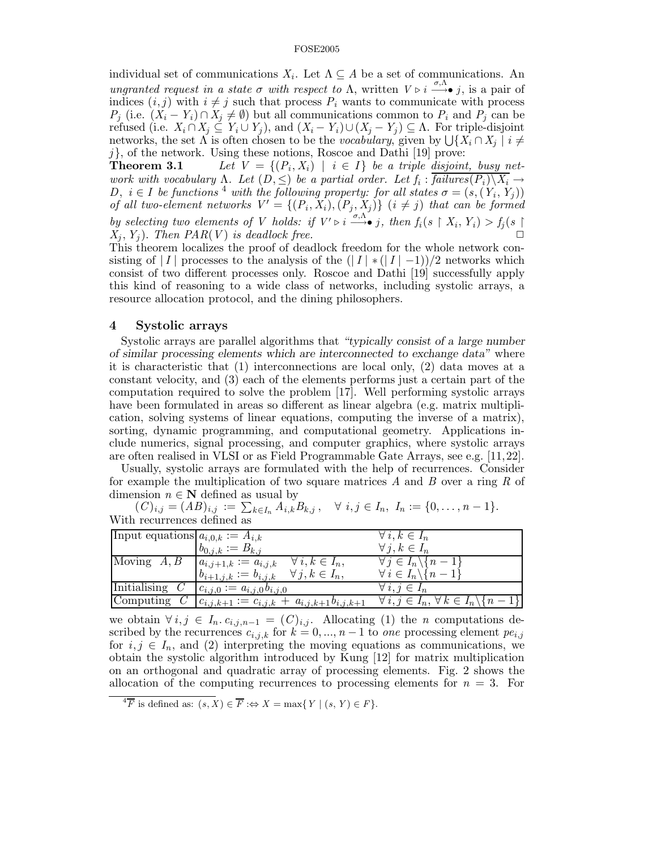individual set of communications  $X_i$ . Let  $\Lambda \subseteq A$  be a set of communications. An *ungranted request in a state*  $\sigma$  *with respect to*  $\Lambda$ , written  $V \triangleright i \stackrel{\sigma}{\longrightarrow} j$ , is a pair of indices  $(i, j)$  with  $i \neq j$  such that process  $P_i$  wants to communicate with process *P<sub>j</sub>* (i.e.  $(X_i - Y_i) \cap X_j \neq \emptyset$ ) but all communications common to  $P_i$  and  $P_j$  can be refused (i.e.  $X_i \cap X_j \subseteq Y_i \cup Y_j$ ), and  $(X_i - Y_i) \cup (X_j - Y_j) \subseteq \Lambda$ . For triple-disjoint networks, the set  $\Lambda$  is often chosen to be the *vocabulary*, given by  $\bigcup \{X_i \cap X_j \mid i \neq j\}$ 

*j*}, of the network. Using these notions, Roscoe and Dathi [19] prove:<br>**Theorem 3.1** Let  $V = \{(P_i, X_i) | i \in I\}$  be a triple disjoin: Let  $V = \{(P_i, X_i) \mid i \in I\}$  be a triple disjoint, busy net*work with vocabulary*  $\Lambda$ *. Let*  $(D, \leq)$  *be a partial order. Let*  $f_i$  :  $\overline{failures(P_i) \setminus X_i} \rightarrow$ *D*,  $i \in I$  be functions<sup>4</sup> with the following property: for all states  $\sigma = (s,(Y_i, Y_j))$ *of all two-element networks*  $V' = \{(P_i, X_i), (P_j, X_j)\}$   $(i \neq j)$  *that can be formed by selecting two elements of V holds: if*  $V' \triangleright i \stackrel{\sigma, \Lambda}{\longrightarrow} j$ , then  $f_i(s \upharpoonright X_i, Y_i) > f_j(s \upharpoonright$  $X_i, Y_j$ ). *Then PAR(V) is deadlock free.* 

This theorem localizes the proof of deadlock freedom for the whole network consisting of  $|I|$  processes to the analysis of the  $(|I| * (|I| - 1))/2$  networks which consist of two different processes only. Roscoe and Dathi [19] successfully apply this kind of reasoning to a wide class of networks, including systolic arrays, a resource allocation protocol, and the dining philosophers.

## **4 Systolic arrays**

Systolic arrays are parallel algorithms that *"typically consist of a large number of similar processing elements which are interconnected to exchange data"* where it is characteristic that (1) interconnections are local only, (2) data moves at a constant velocity, and (3) each of the elements performs just a certain part of the computation required to solve the problem [17]. Well performing systolic arrays have been formulated in areas so different as linear algebra (e.g. matrix multiplication, solving systems of linear equations, computing the inverse of a matrix), sorting, dynamic programming, and computational geometry. Applications include numerics, signal processing, and computer graphics, where systolic arrays are often realised in VLSI or as Field Programmable Gate Arrays, see e.g. [11,22].

Usually, systolic arrays are formulated with the help of recurrences. Consider for example the multiplication of two square matrices *A* and *B* over a ring *R* of dimension  $n \in \mathbb{N}$  defined as usual by

 $(C)_{i,j} = (AB)_{i,j} := \sum_{k \in I_n} A_{i,k} B_{k,j}, \quad \forall i, j \in I_n, I_n := \{0, \ldots, n-1\}.$ With recurrences defined as

| Input equations $a_{i,0,k} := A_{i,k}$      |                                                       | $\forall i, k \in I_n$                                      |
|---------------------------------------------|-------------------------------------------------------|-------------------------------------------------------------|
|                                             | $b_{0,j,k} := B_{k,j}$                                | $\forall j, k \in I_n$                                      |
| Moving $A, B \mid a_{i,j+1,k} := a_{i,j,k}$ | $\forall i, k \in I_n,$                               | $\forall j \in I_n \backslash \{n-1\}$                      |
|                                             | $\forall j, k \in I_n,$<br>$b_{i+1,j,k} := b_{i,j,k}$ | $\forall i \in I_n \backslash \{n-1\}$                      |
| <b>Initialising</b>                         | $c_{i,j,0} := a_{i,j,0} b_{i,j,0}$                    | $\forall i, j \in I_n$                                      |
| Computing                                   | $c_{i,j,k+1} := c_{i,j,k} + a_{i,j,k+1} b_{i,j,k+1}$  | $\forall i,j \in I_n, \forall k \in I_n \backslash \{n-1\}$ |

we obtain  $\forall i, j \in I_n$ .  $c_{i,j,n-1} = (C)_{i,j}$ . Allocating (1) the *n* computations described by the recurrences  $c_{i,j,k}$  for  $k = 0, ..., n-1$  to *one* processing element  $pe_{i,j}$ for  $i, j \in I_n$ , and (2) interpreting the moving equations as communications, we obtain the systolic algorithm introduced by Kung [12] for matrix multiplication on an orthogonal and quadratic array of processing elements. Fig. 2 shows the allocation of the computing recurrences to processing elements for  $n = 3$ . For

 $\overline{A}$ **F** is defined as:  $(s, X) \in \overline{F}$  : $\Leftrightarrow X = \max\{Y \mid (s, Y) \in F\}.$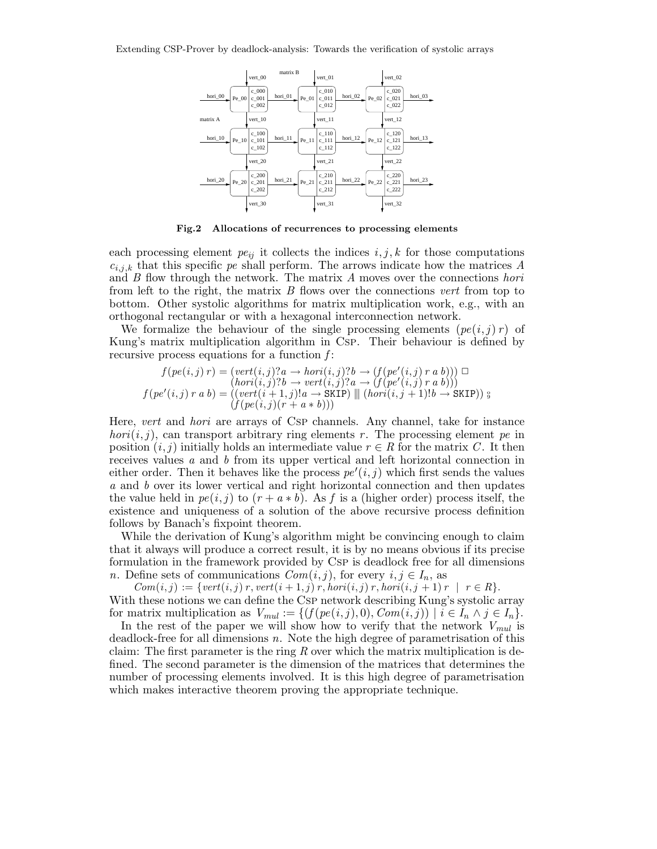

**Fig.2 Allocations of recurrences to processing elements**

each processing element  $pe_{ij}$  it collects the indices  $i, j, k$  for those computations  $c_{i,j,k}$  that this specific *pe* shall perform. The arrows indicate how the matrices *A* and *B* flow through the network. The matrix *A* moves over the connections *hori* from left to the right, the matrix *B* flows over the connections *vert* from top to bottom. Other systolic algorithms for matrix multiplication work, e.g., with an orthogonal rectangular or with a hexagonal interconnection network.

We formalize the behaviour of the single processing elements  $pe(i, j) r$  of Kung's matrix multiplication algorithm in Csp. Their behaviour is defined by recursive process equations for a function *f* :

$$
f(pe(i,j) r) = (vert(i,j)? a \rightarrow hori(i,j)? b \rightarrow (f(pe'(i,j) r a b))) \square
$$
  
\n
$$
(hori(i,j)? b \rightarrow vert(i,j)? a \rightarrow (f(pe'(i,j) r a b)))
$$
  
\n
$$
f(pe'(i,j) r a b) = ((vert(i+1,j)!a \rightarrow \text{SKIP}) \parallel (hori(i,j+1)!b \rightarrow \text{SKIP})) \text{ s}
$$
  
\n
$$
(f(pe(i,j)(r + a * b)))
$$

Here, *vert* and *hori* are arrays of Csp channels. Any channel, take for instance *hori*( $i, j$ ), can transport arbitrary ring elements *r*. The processing element *pe* in position  $(i, j)$  initially holds an intermediate value  $r \in R$  for the matrix *C*. It then receives values *a* and *b* from its upper vertical and left horizontal connection in either order. Then it behaves like the process  $pe'(i, j)$  which first sends the values *a* and *b* over its lower vertical and right horizontal connection and then updates the value held in  $pe(i, j)$  to  $(r + a * b)$ . As f is a (higher order) process itself, the existence and uniqueness of a solution of the above recursive process definition follows by Banach's fixpoint theorem.

While the derivation of Kung's algorithm might be convincing enough to claim that it always will produce a correct result, it is by no means obvious if its precise formulation in the framework provided by Csp is deadlock free for all dimensions *n*. Define sets of communications  $Com(i, j)$ , for every  $i, j \in I_n$ , as

 $Com(i, j) := \{vert, j \rangle r, vert(i + 1, j) r, hor(i, j) r, hor(i, j + 1) r \mid r \in R \}.$ With these notions we can define the CsP network describing Kung's systolic array for matrix multiplication as  $V_{mul} := \{ (f(pe(i,j), 0), Com(i,j)) \mid i \in I_n \land j \in I_n \}.$ 

In the rest of the paper we will show how to verify that the network  $V_{mul}$  is deadlock-free for all dimensions *n*. Note the high degree of parametrisation of this claim: The first parameter is the ring *R* over which the matrix multiplication is defined. The second parameter is the dimension of the matrices that determines the number of processing elements involved. It is this high degree of parametrisation which makes interactive theorem proving the appropriate technique.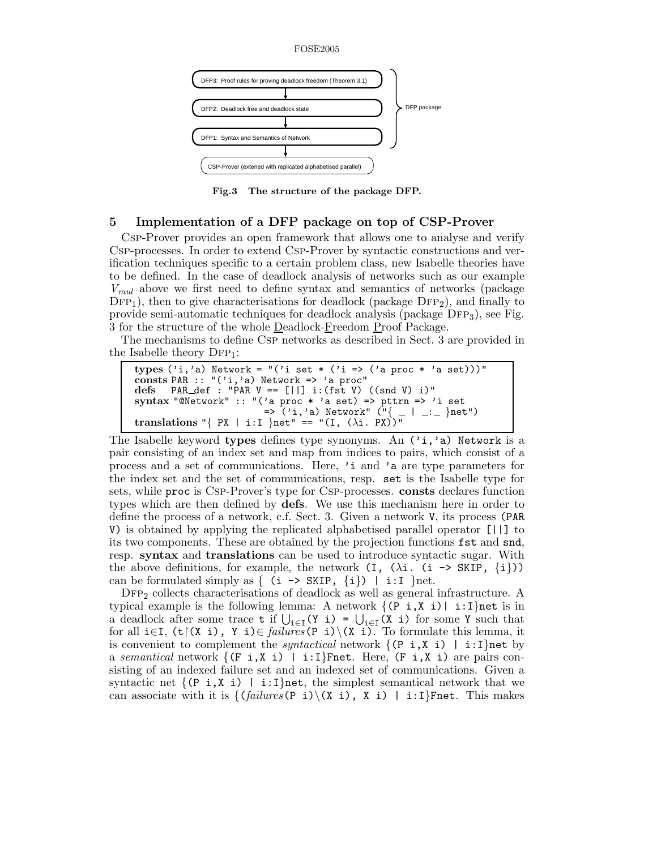

**Fig.3 The structure of the package DFP.**

# **5 Implementation of a DFP package on top of CSP-Prover**

Csp-Prover provides an open framework that allows one to analyse and verify Csp-processes. In order to extend Csp-Prover by syntactic constructions and verification techniques specific to a certain problem class, new Isabelle theories have to be defined. In the case of deadlock analysis of networks such as our example *Vmul* above we first need to define syntax and semantics of networks (package  $\text{DFP}_1$ , then to give characterisations for deadlock (package  $\text{DFP}_2$ ), and finally to provide semi-automatic techniques for deadlock analysis (package  $DFP_3$ ), see Fig. 3 for the structure of the whole Deadlock-Freedom Proof Package.

The mechanisms to define Csp networks as described in Sect. 3 are provided in the Isabelle theory  $DFP_1$ :

```
types ('i,'a) Network = "('i set * ('i => ('a proc * 'a set)))"
consts PAR :: "('i,'a) Network => 'a proc"
defs PAR def : "PAR V == [||] i:(fst V) ((snd V) i)"
syntax "@Network" :: "('a proc * 'a set) => pttrn => 'i set
                        => ('i,'a) Network" ("{ _ | _:_ }net")
translations "{PX | i:I }net" == "(I, (\lambda i. PX))^T
```
The Isabelle keyword **types** defines type synonyms. An ('i,'a) Network is a pair consisting of an index set and map from indices to pairs, which consist of a process and a set of communications. Here, 'i and 'a are type parameters for the index set and the set of communications, resp. set is the Isabelle type for sets, while proc is Csp-Prover's type for Csp-processes. **consts** declares function types which are then defined by **defs**. We use this mechanism here in order to define the process of a network, c.f. Sect. 3. Given a network V, its process (PAR V) is obtained by applying the replicated alphabetised parallel operator [||] to its two components. These are obtained by the projection functions fst and snd, resp. **syntax** and **translations** can be used to introduce syntactic sugar. With the above definitions, for example, the network  $(I, (\lambda i. (i \rightarrow SkIP, \{i\}))$ can be formulated simply as  $\{$  (i -> SKIP,  $\{i\}$ ) | i:I }net.

 $\text{DFP}_2$  collects characterisations of deadlock as well as general infrastructure. A typical example is the following lemma: A network  $\{(\text{P } i, X i) | i:I\}$ net is in a deadlock after some trace  $\mathbf{t}$  if  $\bigcup_{i\in I}(Y_i\mathbf{i}) = \bigcup_{i\in I}(X_i\mathbf{i})$  for some Y such that for all  $i \in I$ ,  $(t)(X_i)$ ,  $Y_i) \in *failures*(P_i)(X_i)$ . To formulate this lemma, it is convenient to complement the *syntactical* network  $\{ (P_i, X_i) \mid i: I \}$ net by a *semantical* network  $\{ (F_i, X_i) \mid i: I\}$  Free,  $(F_i, X_i)$  are pairs consisting of an indexed failure set and an indexed set of communications. Given a syntactic net  $\{ (P_i, X_i) \mid i: I\}$ net, the simplest semantical network that we can associate with it is  $\{(\text{failures}(P_i)\setminus (X_i), X_i) \mid i:I\}$ Fnet. This makes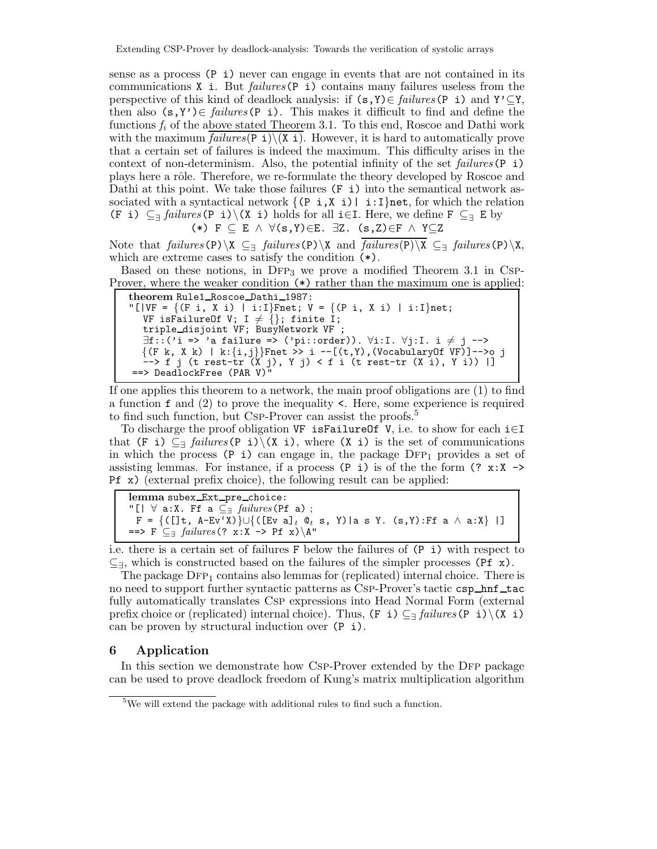sense as a process (P i) never can engage in events that are not contained in its communications X i. But *failures*(P i) contains many failures useless from the perspective of this kind of deadlock analysis: if  $(s, Y) \in \text{failures}(P \text{ i})$  and  $Y' \subseteq Y$ , then also (s,Y')∈ *failures*(P i). This makes it difficult to find and define the functions *f<sup>i</sup>* of the above stated Theorem 3.1. To this end, Roscoe and Dathi work with the maximum  $failures(P_i)\ (X_i)$ . However, it is hard to automatically prove that a certain set of failures is indeed the maximum. This difficulty arises in the context of non-determinism. Also, the potential infinity of the set *failures*(P i) plays here a rôle. Therefore, we re-formulate the theory developed by Roscoe and Dathi at this point. We take those failures (F i) into the semantical network associated with a syntactical network  $\{ (P_i, X_i) | i: I\}$ net, for which the relation (F i) ⊆<sup>∃</sup> *failures*(P i)\(X i) holds for all i∈I. Here, we define F ⊆<sup>∃</sup> E by (\*) F ⊆ E ∧ ∀(s,Y)∈E. ∃Z. (s,Z)∈F ∧ Y⊆Z

Note that *failures*(P)\X  $\subseteq$ <sub>3</sub> *failures*(P)\X and  $\overline{failures(P)\X}$   $\subseteq$ <sub>3</sub> *failures*(P)\X, which are extreme cases to satisfy the condition (\*).

Based on these notions, in  $DFP_3$  we prove a modified Theorem 3.1 in Csp-Prover, where the weaker condition (\*) rather than the maximum one is applied:

```
theorem Rule1_Roscoe_Dathi_1987:
"[|VF = \{ (F \ i, X \ i) \mid i:I\}Fnet; V = \{ (P \ i, X \ i) \mid i:I\}net;
   VF isFailureOf V; I \neq \{\}; finite I;
   triple disjoint VF; BusyNetwork VF ;
   \exists f::('i \Rightarrow 'a failure \Rightarrow ('pi::order)). \forall i:I. \forall j:I. i \neq j \rightarrow\\{(F \kappa, X \kappa) \mid \kappa:\{i,j\}\}Fnet >> i --[(t,Y),(VocabularyOf VF)]-->o j
   --> f j (t rest-tr (X j), Y j) < f i (t rest-tr (X i), Y i)) |]
==> DeadlockFree (PAR V)"
```
If one applies this theorem to a network, the main proof obligations are (1) to find a function f and (2) to prove the inequality <. Here, some experience is required to find such function, but Csp-Prover can assist the proofs.<sup>5</sup>

To discharge the proof obligation VF isFailureOf V, i.e. to show for each  $i \in I$ that (F i)  $\subseteq$ <sub>3</sub> *failures* (P i)  $(X \in \mathbb{R})$ , where  $(X \in \mathbb{R})$  is the set of communications in which the process (P i) can engage in, the package  $DFP_1$  provides a set of assisting lemmas. For instance, if a process  $(P_i)$  is of the the form  $(? x:X \rightarrow$ Pf x) (external prefix choice), the following result can be applied:

lemma subex\_Ext\_pre\_choice: "[| ∀ a:X. Ff a ⊆<sup>∃</sup> *failures*(Pf a) ; F = {([]t, A-Ev'X)}∪{([Ev a]*<sup>t</sup>* @*<sup>t</sup>* s, Y)|a s Y. (s,Y):Ff a ∧ a:X} |] ==> F ⊆<sup>∃</sup> *failures*(? x:X -> Pf x)\A"

i.e. there is a certain set of failures F below the failures of (P i) with respect to  $\subseteq$ <sub>∃</sub>, which is constructed based on the failures of the simpler processes (Pf x).

The package  $\text{DFP}_1$  contains also lemmas for (replicated) internal choice. There is no need to support further syntactic patterns as CSP-Prover's tactic csp\_hnf\_tac fully automatically translates Csp expressions into Head Normal Form (external prefix choice or (replicated) internal choice). Thus,  $(F_i) \subseteq \{failures(P_i) \setminus (X_i)\}$ can be proven by structural induction over (P i).

## **6 Application**

In this section we demonstrate how CSP-Prover extended by the DFP package can be used to prove deadlock freedom of Kung's matrix multiplication algorithm

<sup>&</sup>lt;sup>5</sup>We will extend the package with additional rules to find such a function.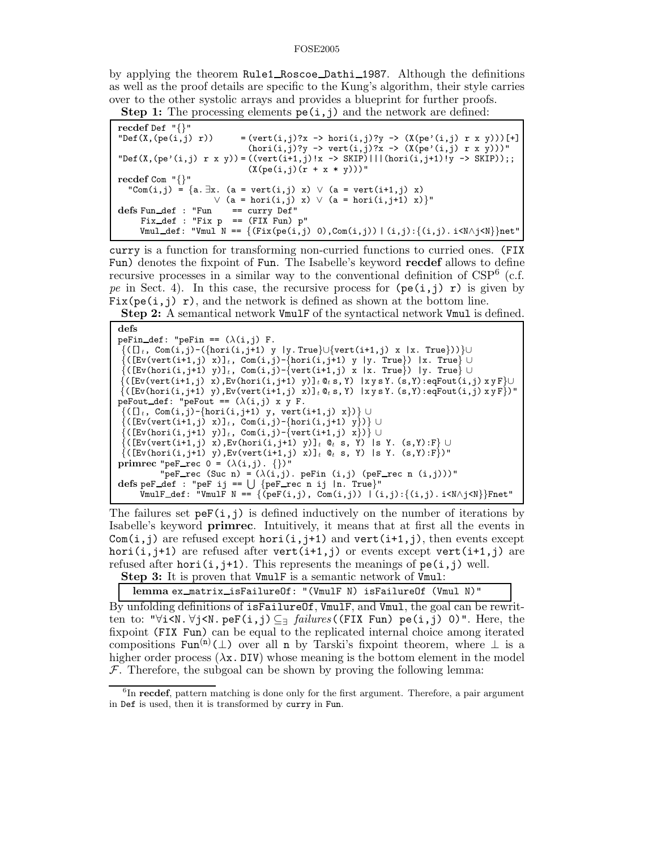by applying the theorem Rule1 Roscoe Dathi 1987. Although the definitions as well as the proof details are specific to the Kung's algorithm, their style carries over to the other systolic arrays and provides a blueprint for further proofs.

**Step 1:** The processing elements  $pe(i, j)$  and the network are defined:

curry is a function for transforming non-curried functions to curried ones. (FIX Fun) denotes the fixpoint of Fun. The Isabelle's keyword **recdef** allows to define recursive processes in a similar way to the conventional definition of  $CSP<sup>6</sup>$  (c.f. *pe* in Sect. 4). In this case, the recursive process for  $(\text{pe}(i,j) \, r)$  is given by Fix(pe(i,j) r), and the network is defined as shown at the bottom line.

**Step 2:** A semantical network VmulF of the syntactical network Vmul is defined.

```
defs
peFin_def: "peFin == (\lambda(i,j)) F.
 {([]t, Com(i,j)-({hori(i,j+1) y |y. True}∪{vert(i+1,j) x |x. True}))}∪
 {([Ev(vert(i+1,j) x)]t, Com(i,j)-{hori(i,j+1) y |y. True}) |x. True} ∪
 {([Ev(hori(i,j+1) y)]t, Com(i,j)-{vert(i+1,j) x |x. True}) |y. True} ∪
 {([Ev(vert(i+1,j) x),Ev(hori(i,j+1) y)]t @t s, Y) |x y s Y. (s,Y):eqFout(i,j) x y F}∪
\{([Ev(hori(i,j+1) y), Ev(vert(i+1,j) x)]_{t} @_{t}s, Y) | xysY. (s,Y):eqFout(i,j) xyF\})"peFout_def: "peFout == (\lambda(i,j) \times y) F.
 {([]t, Com(i,j)-{hori(i,j+1) y, vert(i+1,j) x})} ∪
 {(\texttt{Ev}(\texttt{vert}(i+1,j)\ x)]_t, \ \texttt{Com}(i,j)-\{\texttt{hori}(i,j+1)\ y\})\}\cup({\tt [Ev(hori(i,j+1) y)]_t, Com(i,j)-{vert(i+1,j) x}}) \cup{([Ev(vert(i+1,j) x),Ev(hori(i,j+1) y)]t @t s, Y) |s Y. (s,Y):F} ∪
 \{([\text{Ev}(\text{hori}(i,j+1) \ y), \text{Ev}(\text{vert}(i+1,j) \ x)]_t \ @_t s, Y\} \ |s \ Y. \ (s,Y):F\})"
primrec "peF_rec 0 = (\lambda(i,j). \{\})"
             "per\_rec (Suc n) = (\lambda(i,j). peFin (i,j) (peF_rec n (i,j)))"
\text{defs} \text{ } p \text{ } eF \text{ } \text{ } \text{ } d \text{ } eF \text{ } \text{ } i \text{ } j \text{ } == \text{ } \bigcup \text{ } \{ \text{ } p \text{ } eF \text{ } \text{ } \text{ } \text{ } re \text{ } c \text{ } n \text{ } i \text{ } j \text{ } \text{ } | n \text{ } \text{ } \text{ } True \}"
      \overline{V}mulF_def: "VmulF N == {(peF(i,j), Com(i,j)) | (i,j):{(i,j).i<N\wedgej<N}}Fnet"
```
The failures set  $\mathsf{peF}(i,j)$  is defined inductively on the number of iterations by Isabelle's keyword **primrec**. Intuitively, it means that at first all the events in Com(i,j) are refused except hori(i,j+1) and vert(i+1,j), then events except hori(i,j+1) are refused after vert(i+1,j) or events except vert(i+1,j) are refused after hori(i,j+1). This represents the meanings of  $pe(i,j)$  well.

**Step 3:** It is proven that VmulF is a semantic network of Vmul:

**lemma** ex matrix isFailureOf: "(VmulF N) isFailureOf (Vmul N)"

By unfolding definitions of isFailureOf, VmulF, and Vmul, the goal can be rewritten to: "∀i<N. ∀j<N. peF(i,j)⊆<sup>∃</sup> *failures*((FIX Fun) pe(i,j) 0)". Here, the fixpoint (FIX Fun) can be equal to the replicated internal choice among iterated compositions  $\text{Fun}^{(n)}(\bot)$  over all n by Tarski's fixpoint theorem, where  $\bot$  is a higher order process  $(\lambda x. DIV)$  whose meaning is the bottom element in the model  $F$ . Therefore, the subgoal can be shown by proving the following lemma:

<sup>&</sup>lt;sup>6</sup>In **recdef**, pattern matching is done only for the first argument. Therefore, a pair argument in Def is used, then it is transformed by curry in Fun.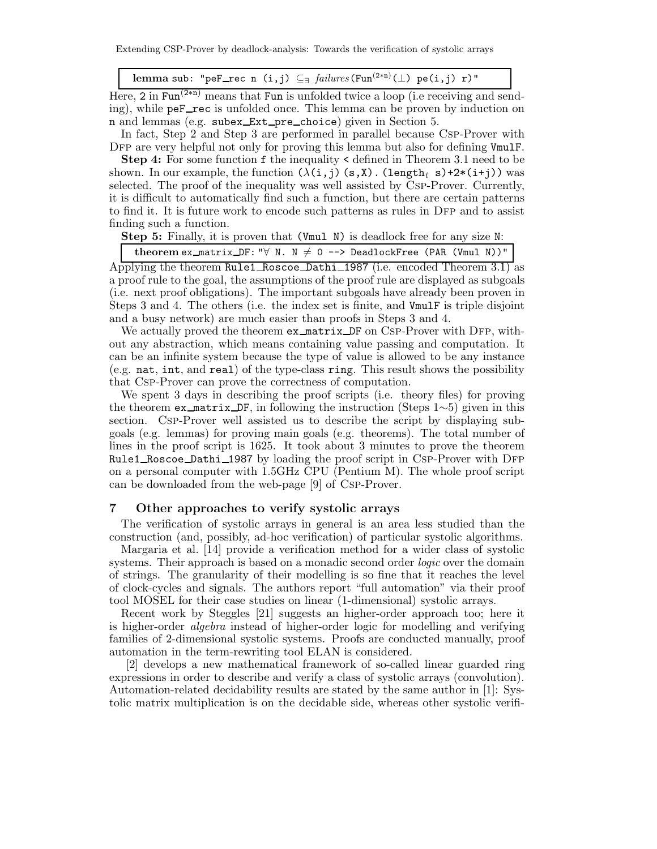Extending CSP-Prover by deadlock-analysis: Towards the verification of systolic arrays

lemma sub: "peF\_rec n (i,j)  $\subseteq$ <sub>7</sub> *failures*(Fun<sup>(2\*n)</sup>( $\perp$ ) pe(i,j) r)"

Here, 2 in Fun<sup>(2∗n)</sup> means that Fun is unfolded twice a loop (i.e receiving and sending), while peF rec is unfolded once. This lemma can be proven by induction on n and lemmas (e.g. subex Ext pre choice) given in Section 5.

In fact, Step 2 and Step 3 are performed in parallel because Csp-Prover with DFP are very helpful not only for proving this lemma but also for defining VmulF.

**Step 4:** For some function f the inequality  $\leq$  defined in Theorem 3.1 need to be shown. In our example, the function  $(\lambda(i,j)$   $(s, X)$ . (length<sub>t</sub> s)+2\*(i+j)) was selected. The proof of the inequality was well assisted by Csp-Prover. Currently, it is difficult to automatically find such a function, but there are certain patterns to find it. It is future work to encode such patterns as rules in DFP and to assist finding such a function.

**Step 5:** Finally, it is proven that (Vmul N) is deadlock free for any size N:

**theorem** ex\_matrix DF: " $\forall$  N. N  $\neq$  0 --> DeadlockFree (PAR (Vmul N))"

Applying the theorem Rule1\_Roscoe\_Dathi\_1987 (i.e. encoded Theorem 3.1) as a proof rule to the goal, the assumptions of the proof rule are displayed as subgoals (i.e. next proof obligations). The important subgoals have already been proven in Steps 3 and 4. The others (i.e. the index set is finite, and VmulF is triple disjoint and a busy network) are much easier than proofs in Steps 3 and 4.

We actually proved the theorem ex\_matrix DF on CSP-Prover with DFP, without any abstraction, which means containing value passing and computation. It can be an infinite system because the type of value is allowed to be any instance (e.g. nat, int, and real) of the type-class ring. This result shows the possibility that Csp-Prover can prove the correctness of computation.

We spent 3 days in describing the proof scripts (i.e. theory files) for proving the theorem ex matrix DF, in following the instruction (Steps 1∼5) given in this section. Csp-Prover well assisted us to describe the script by displaying subgoals (e.g. lemmas) for proving main goals (e.g. theorems). The total number of lines in the proof script is 1625. It took about 3 minutes to prove the theorem Rule1\_Roscoe\_Dathi\_1987 by loading the proof script in CSP-Prover with DFP on a personal computer with 1.5GHz CPU (Pentium M). The whole proof script can be downloaded from the web-page [9] of Csp-Prover.

# **7 Other approaches to verify systolic arrays**

The verification of systolic arrays in general is an area less studied than the construction (and, possibly, ad-hoc verification) of particular systolic algorithms.

Margaria et al. [14] provide a verification method for a wider class of systolic systems. Their approach is based on a monadic second order *logic* over the domain of strings. The granularity of their modelling is so fine that it reaches the level of clock-cycles and signals. The authors report "full automation" via their proof tool MOSEL for their case studies on linear (1-dimensional) systolic arrays.

Recent work by Steggles [21] suggests an higher-order approach too; here it is higher-order *algebra* instead of higher-order logic for modelling and verifying families of 2-dimensional systolic systems. Proofs are conducted manually, proof automation in the term-rewriting tool ELAN is considered.

[2] develops a new mathematical framework of so-called linear guarded ring expressions in order to describe and verify a class of systolic arrays (convolution). Automation-related decidability results are stated by the same author in [1]: Systolic matrix multiplication is on the decidable side, whereas other systolic verifi-